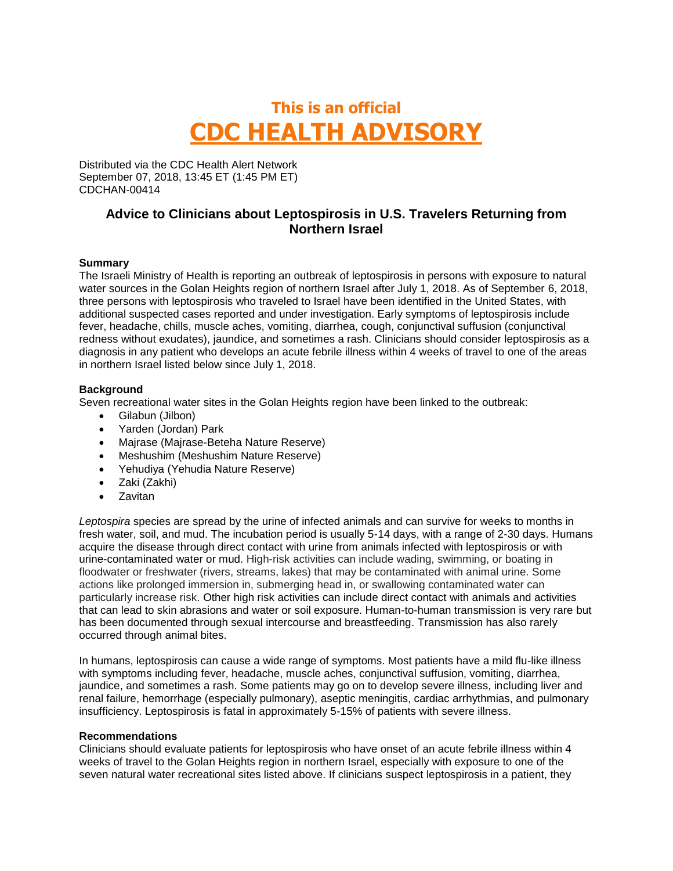# **This is an official CDC HEALTH ADVISORY**

Distributed via the CDC Health Alert Network September 07, 2018, 13:45 ET (1:45 PM ET) CDCHAN-00414

## **Advice to Clinicians about Leptospirosis in U.S. Travelers Returning from Northern Israel**

### **Summary**

The Israeli Ministry of Health is reporting an outbreak of leptospirosis in persons with exposure to natural water sources in the Golan Heights region of northern Israel after July 1, 2018. As of September 6, 2018, three persons with leptospirosis who traveled to Israel have been identified in the United States, with additional suspected cases reported and under investigation. Early symptoms of leptospirosis include fever, headache, chills, muscle aches, vomiting, diarrhea, cough, conjunctival suffusion (conjunctival redness without exudates), jaundice, and sometimes a rash. Clinicians should consider leptospirosis as a diagnosis in any patient who develops an acute febrile illness within 4 weeks of travel to one of the areas in northern Israel listed below since July 1, 2018.

#### **Background**

Seven recreational water sites in the Golan Heights region have been linked to the outbreak:

- Gilabun (Jilbon)
- Yarden (Jordan) Park
- Majrase (Majrase-Beteha Nature Reserve)
- Meshushim (Meshushim Nature Reserve)
- Yehudiya (Yehudia Nature Reserve)
- Zaki (Zakhi)
- Zavitan

*Leptospira* species are spread by the urine of infected animals and can survive for weeks to months in fresh water, soil, and mud. The incubation period is usually 5-14 days, with a range of 2-30 days. Humans acquire the disease through direct contact with urine from animals infected with leptospirosis or with urine-contaminated water or mud. High-risk activities can include wading, swimming, or boating in floodwater or freshwater (rivers, streams, lakes) that may be contaminated with animal urine. Some actions like prolonged immersion in, submerging head in, or swallowing contaminated water can particularly increase risk. Other high risk activities can include direct contact with animals and activities that can lead to skin abrasions and water or soil exposure. Human-to-human transmission is very rare but has been documented through sexual intercourse and breastfeeding. Transmission has also rarely occurred through animal bites.

In humans, leptospirosis can cause a wide range of symptoms. Most patients have a mild flu-like illness with symptoms including fever, headache, muscle aches, conjunctival suffusion, vomiting, diarrhea, jaundice, and sometimes a rash. Some patients may go on to develop severe illness, including liver and renal failure, hemorrhage (especially pulmonary), aseptic meningitis, cardiac arrhythmias, and pulmonary insufficiency. Leptospirosis is fatal in approximately 5-15% of patients with severe illness.

#### **Recommendations**

Clinicians should evaluate patients for leptospirosis who have onset of an acute febrile illness within 4 weeks of travel to the Golan Heights region in northern Israel, especially with exposure to one of the seven natural water recreational sites listed above. If clinicians suspect leptospirosis in a patient, they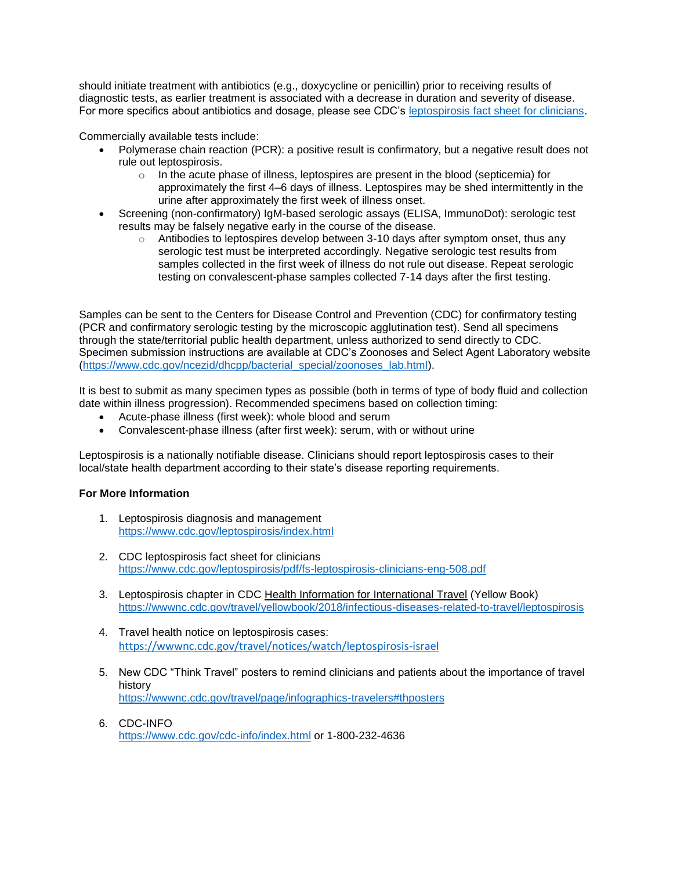should initiate treatment with antibiotics (e.g., doxycycline or penicillin) prior to receiving results of diagnostic tests, as earlier treatment is associated with a decrease in duration and severity of disease. For more specifics about antibiotics and dosage, please see CDC's [leptospirosis fact sheet for clinicians.](https://www.cdc.gov/leptospirosis/pdf/fs-leptospirosis-clinicians-eng-508.pdf)

Commercially available tests include:

- Polymerase chain reaction (PCR): a positive result is confirmatory, but a negative result does not rule out leptospirosis.
	- o In the acute phase of illness, leptospires are present in the blood (septicemia) for approximately the first 4–6 days of illness. Leptospires may be shed intermittently in the urine after approximately the first week of illness onset.
- Screening (non-confirmatory) IgM-based serologic assays (ELISA, ImmunoDot): serologic test results may be falsely negative early in the course of the disease.
	- $\circ$  Antibodies to leptospires develop between 3-10 days after symptom onset, thus any serologic test must be interpreted accordingly. Negative serologic test results from samples collected in the first week of illness do not rule out disease. Repeat serologic testing on convalescent-phase samples collected 7-14 days after the first testing.

Samples can be sent to the Centers for Disease Control and Prevention (CDC) for confirmatory testing (PCR and confirmatory serologic testing by the microscopic agglutination test). Send all specimens through the state/territorial public health department, unless authorized to send directly to CDC. Specimen submission instructions are available at CDC's Zoonoses and Select Agent Laboratory website [\(https://www.cdc.gov/ncezid/dhcpp/bacterial\\_special/zoonoses\\_lab.html\)](https://www.cdc.gov/ncezid/dhcpp/bacterial_special/zoonoses_lab.html).

It is best to submit as many specimen types as possible (both in terms of type of body fluid and collection date within illness progression). Recommended specimens based on collection timing:

- Acute-phase illness (first week): whole blood and serum
- Convalescent-phase illness (after first week): serum, with or without urine

Leptospirosis is a nationally notifiable disease. Clinicians should report leptospirosis cases to their local/state health department according to their state's disease reporting requirements.

### **For More Information**

- 1. Leptospirosis diagnosis and management <https://www.cdc.gov/leptospirosis/index.html>
- 2. CDC leptospirosis fact sheet for clinicians <https://www.cdc.gov/leptospirosis/pdf/fs-leptospirosis-clinicians-eng-508.pdf>
- 3. Leptospirosis chapter in CDC Health Information for International Travel (Yellow Book) <https://wwwnc.cdc.gov/travel/yellowbook/2018/infectious-diseases-related-to-travel/leptospirosis>
- 4. Travel health notice on leptospirosis cases: <https://wwwnc.cdc.gov/travel/notices/watch/leptospirosis-israel>
- 5. New CDC "Think Travel" posters to remind clinicians and patients about the importance of travel history <https://wwwnc.cdc.gov/travel/page/infographics-travelers#thposters>
- 6. CDC-INFO <https://www.cdc.gov/cdc-info/index.html> or 1-800-232-4636